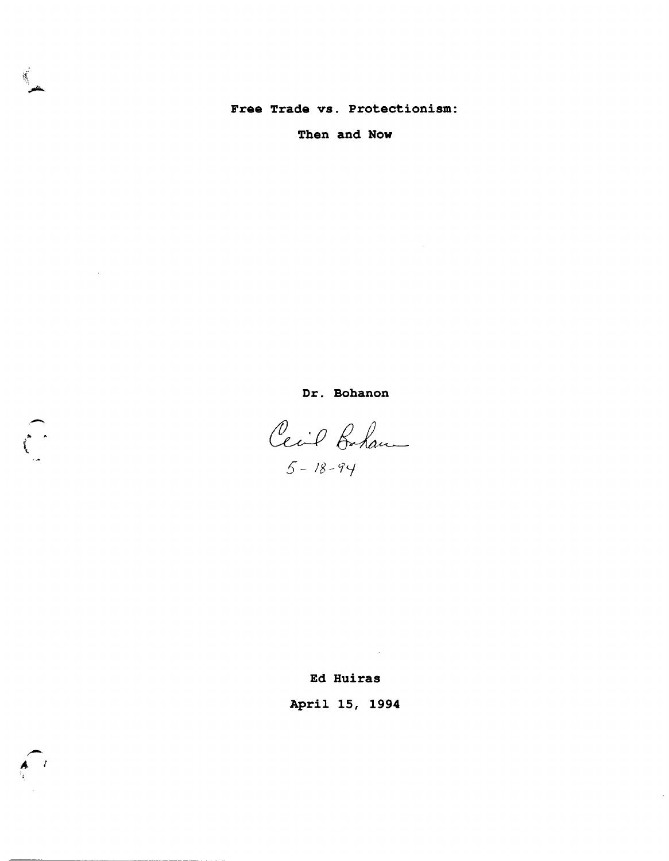Free Trade vs. Protectionism:

i(  $\int_{\mathbb{R}_{+}}$ 

--------.\_ .. \_\_ .\_------\_.-

Then and Now

Dr. Bohanon

Cecil Baham<br>5-18-94

Ed Huiras

April 15, 1994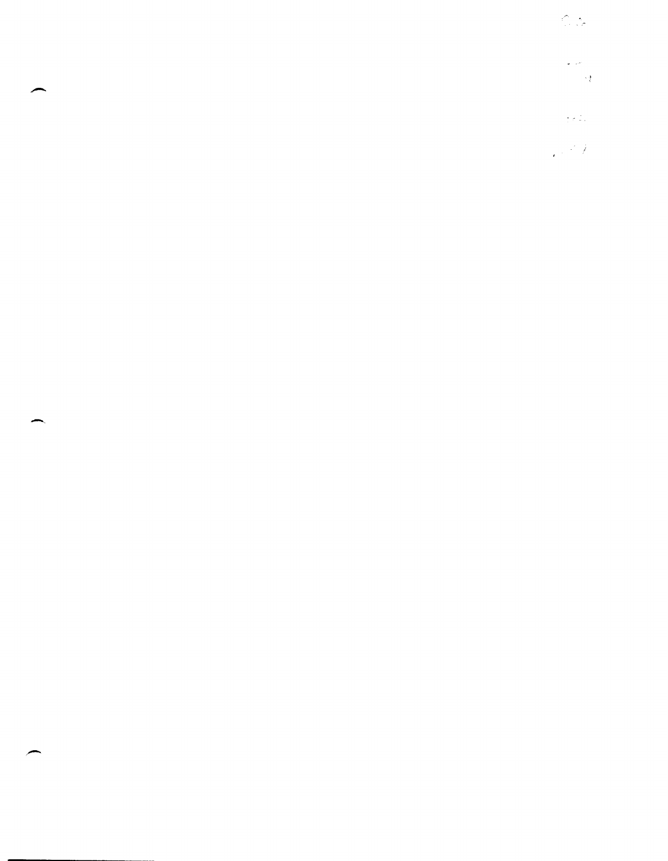$\mathbb{C}$  is  $\frac{1}{\sqrt{2}}$  $\label{eq:2} \frac{1}{2} \sum_{i=1}^n \frac{1}{2} \sum_{j=1}^n \frac{1}{2} \sum_{j=1}^n \frac{1}{2} \sum_{j=1}^n \frac{1}{2} \sum_{j=1}^n \frac{1}{2} \sum_{j=1}^n \frac{1}{2} \sum_{j=1}^n \frac{1}{2} \sum_{j=1}^n \frac{1}{2} \sum_{j=1}^n \frac{1}{2} \sum_{j=1}^n \frac{1}{2} \sum_{j=1}^n \frac{1}{2} \sum_{j=1}^n \frac{1}{2} \sum_{j=1}^n \frac{1}{$ 

 $\mathcal{L}^{(2)}$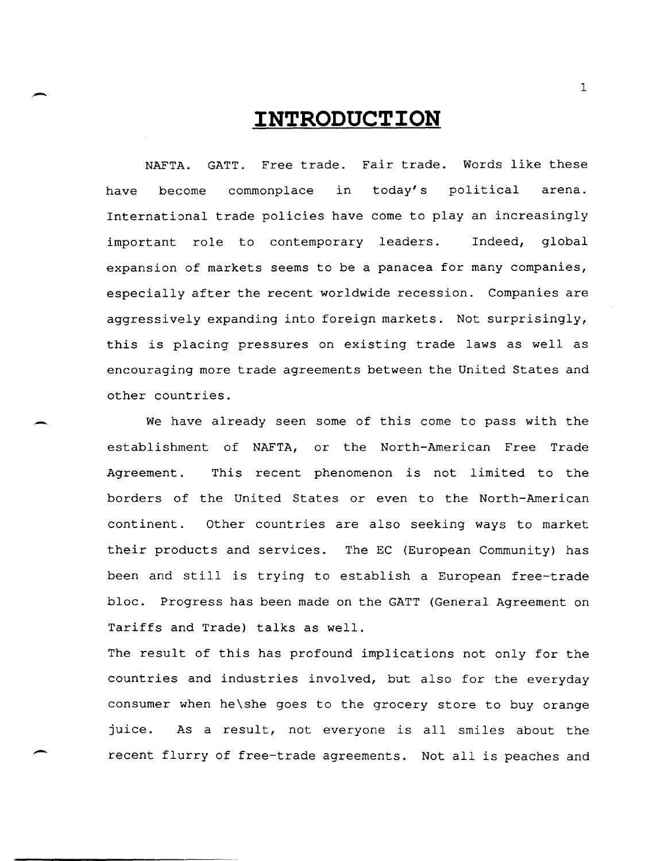## **INTRODUCTION**

NAFTA. GATT. Free trade. Fair trade. Words like these have become commonplace in today's political arena. International trade policies have come to play an increasingly important role to contemporary leaders. Indeed, global expansion of markets seems to be a panacea for many companies, especially after the recent worldwide recession. Companies are aggressively expanding into foreign markets. Not surprisingly, this is placing pressures on existing trade laws as well as encouraging more trade agreements between the United States and other countries.

We have already seen some of this come to pass with the establishment of NAFTA, or the North-American Free Trade Agreement. This recent phenomenon is not limited to the borders of the United States or even to the North-American continent. Other countries are also seeking ways to market their products and services. The EC (European Community) has been and still is trying to establish a European free-trade bloc. Progress has been made on the GATT (General Agreement on Tariffs and Trade) talks as well.

The result of this has profound implications not only for the countries and industries involved, but also for the everyday consumer when he\she goes to the grocery store to buy orange juice. As a result, not everyone is all smiles about the recent flurry of free-trade agreements. Not all is peaches and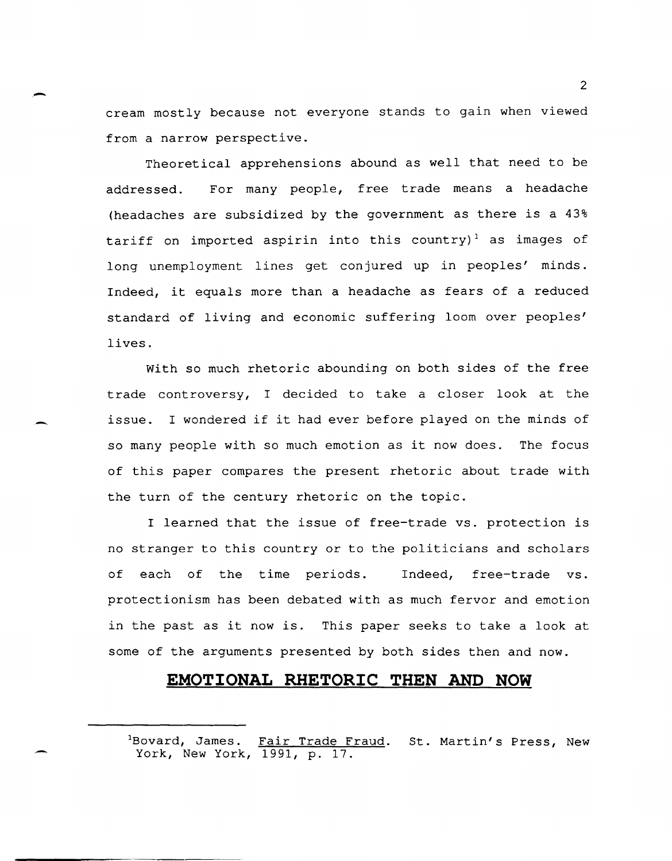cream mostly because not everyone stands to gain when viewed from a narrow perspective.

Theoretical apprehensions abound as well that need to be addressed. For many people, free trade means a headache (headaches are subsidized by the government as there is a 43% tariff on imported aspirin into this country)<sup>1</sup> as images of long unemployment lines get conjured up in peoples' minds. Indeed, it equals more than a headache as fears of a reduced standard of living and economic suffering loom over peoples' lives.

With so much rhetoric abounding on both sides of the free trade controversy, I decided to take a closer look at the issue. I wondered if it had ever before played on the minds of so many people with so much emotion as it now does. The focus of this paper compares the present rhetoric about trade with the turn of the century rhetoric on the topic.

I learned that the issue of free-trade vs. protection is no stranger to this country or to the politicians and scholars of each of the time periods. Indeed, free-trade vs. protectionism has been debated with as much fervor and emotion in the past as it now is. This paper seeks to take a look at some of the arguments presented by both sides then and now.

### **EMOTIONAL RHETORIC THEN AND NOW**

<sup>&</sup>lt;sup>1</sup>Bovard, James. Fair Trade Fraud. St. Martin's Press, New York, New York, 1991, p. 17.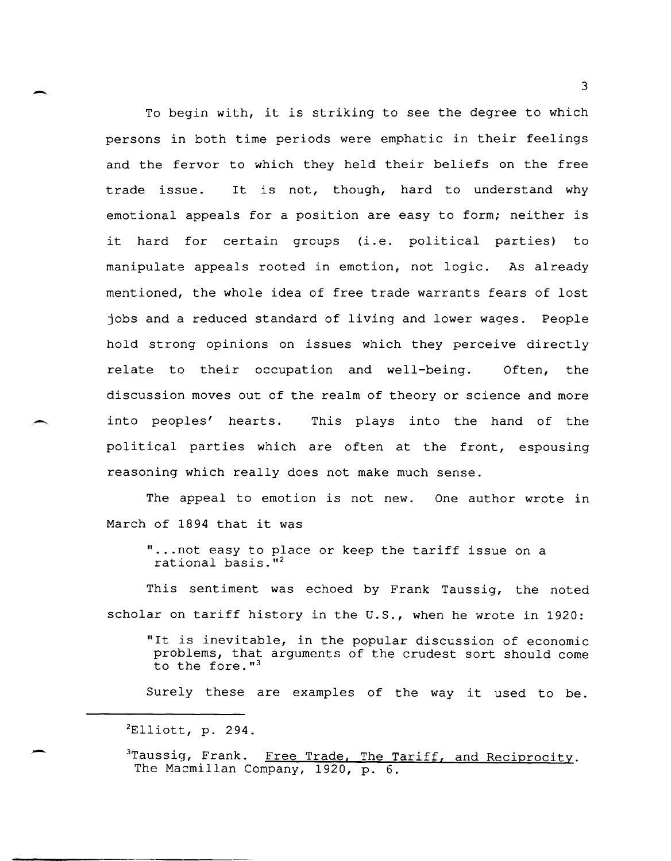To begin with, it is striking to see the degree to which persons in both time periods were emphatic in their feelings and the fervor to which they held their beliefs on the free trade issue. It is not, though, hard to understand why emotional appeals for a position are easy to form; neither is it hard for certain groups (i.e. political parties) to manipulate appeals rooted in emotion, not logic. As already mentioned, the whole idea of free trade warrants fears of lost jobs and a reduced standard of living and lower wages. People hold strong opinions on issues which they perceive directly relate to their occupation and well-being. Often, the discussion moves out of the realm of theory or science and more into peoples' hearts. This plays into the hand of the political parties which are often at the front, espousing reasoning which really does not make much sense.

The appeal to emotion is not new. One author wrote in March of 1894 that it was

" ... not easy to place or keep the tariff issue on a rational basis."<sup>2</sup>

This sentiment was echoed by Frank Taussig, the noted scholar on tariff history in the U.S., when he wrote in 1920:

"It is inevitable, in the popular discussion of economic problems, that arguments of the crudest sort should come to the fore. $113$ 

Surely these are examples of the way it used to be.

-

 $2$ Elliott, p. 294.

<sup>&</sup>lt;sup>3</sup>Taussig, Frank. Free Trade, The Tariff, and Reciprocity. The Macmillan Company, 1920, p. 6.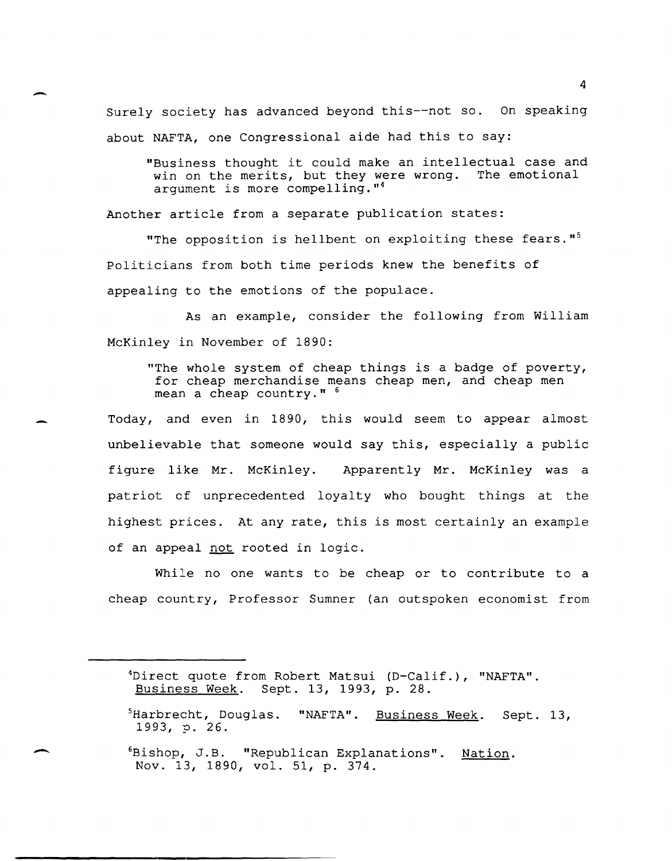Surely society has advanced beyond this--not so. On speaking about NAFTA, one Congressional aide had this to say:

"Business thought it could make an intellectual case and win on the merits, but they were wrong. The emotional argument is more compelling."4

Another article from a separate publication states:

-

-

"The opposition is hellbent on exploiting these fears."<sup>5</sup> Politicians from both time periods knew the benefits of appealing to the emotions of the populace.

As an example, consider the following from William McKinley in November of 1890:

"The whole system of cheap things is a badge of poverty, for cheap merchandise means cheap men, and cheap men mean a cheap country."  $6$ 

Today, and even in 1890, this would seem to appear almost unbelievable that someone would say this, especially a public figure like Mr. McKinley. Apparently Mr. McKinley was a patriot of unprecedented loyalty who bought things at the highest prices. At any rate, this is most certainly an example of an appeal not rooted in logic.

While no one wants to be cheap or to contribute to a cheap country, Professor Sumner (an outspoken economist from

<sup>4</sup>Direct quote from Robert Matsui (D-Calif.), "NAFTA". Business Week. Sept. 13, 1993, p. 28.

<sup>&</sup>lt;sup>5</sup>Harbrecht, Douglas. "NAFTA". Business Week. Sept. 13, 1993, p. 26.

<sup>6</sup>Bishop, J.B. "Republican Explanations". Nation. Nov. 13, 1890, vol. 51, p. 374.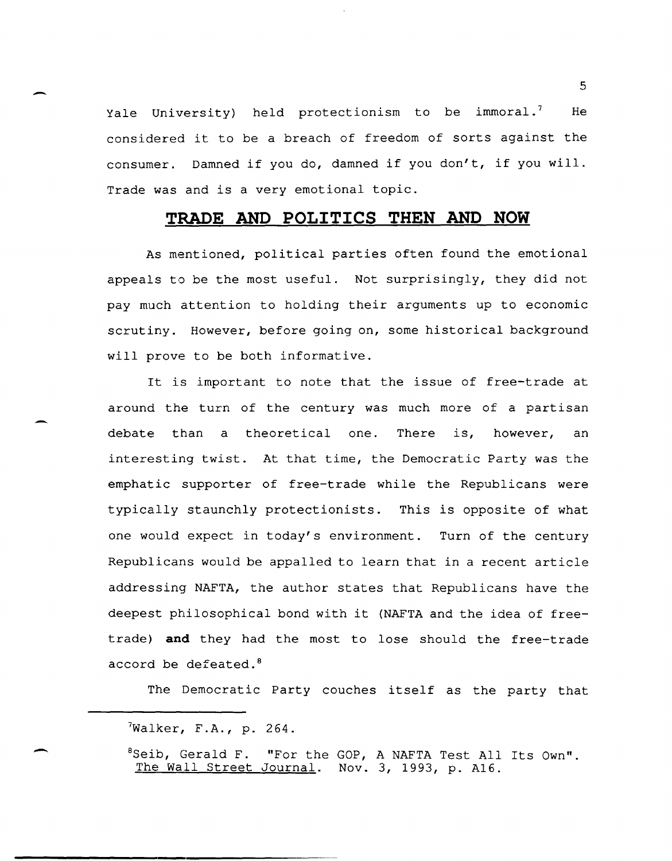Yale University) held protectionism to be immoral.<sup>7</sup> He considered it to be a breach of freedom of sorts against the consumer. Damned if you do, damned if you don't, if you will. Trade was and is a very emotional topic.

#### **TRADE AND POLITICS THEN AND NOW**

As mentioned, political parties often found the emotional appeals to be the most useful. Not surprisingly, they did not pay much attention to holding their arguments up to economic scrutiny. However, before going on, some historical background will prove to be both informative.

It is important to note that the issue of free-trade at around the turn of the century was much more of a partisan<br>debate than a theoretical one. There is, however, an interesting twist. At that time, the Democratic Party was the emphatic supporter of free-trade while the Republicans were typically staunchly protectionists. This is opposite of what one would expect in today's environment. Turn of the century Republicans would be appalled to learn that in a recent article addressing NAFTA, the author states that Republicans have the deepest philosophical bond with it (NAFTA and the idea of freetrade) **and** they had the most to lose should the free-trade accord be defeated.<sup>8</sup>

The Democratic Party couches itself as the party that

 $7$ Walker, F.A., p. 264.

<sup>&</sup>lt;sup>8</sup>Seib, Gerald F. "For the GOP, A NAFTA Test All Its Own".<br>The Wall Street Journal. Nov. 3, 1993, p. A16. The Wall Street Journal.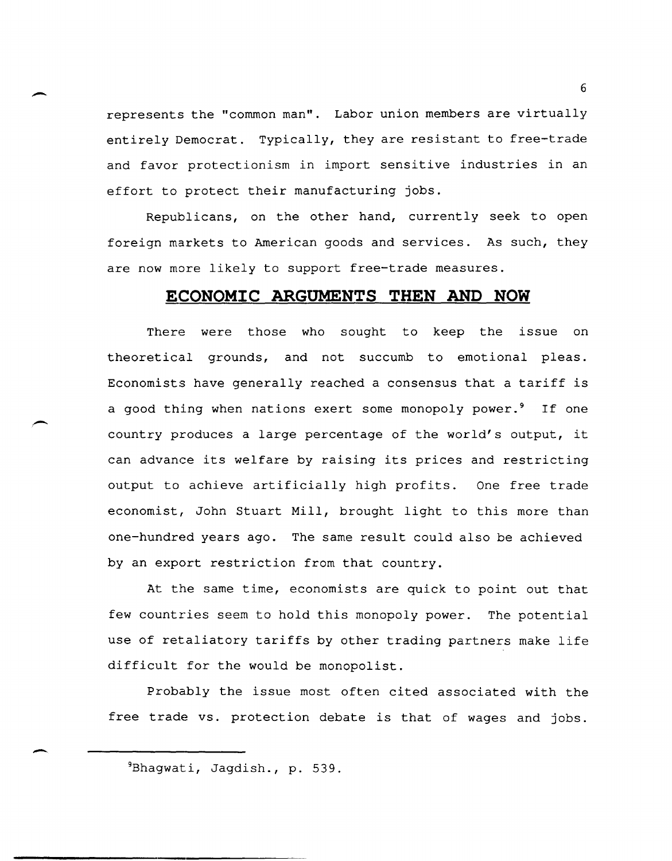represents the "common man". Labor union members are virtually entirely Democrat. Typically, they are resistant to free-trade and favor protectionism in import sensitive industries in an effort to protect their manufacturing jobs.

-

-

Republicans, on the other hand, currently seek to open foreign markets to American goods and services. As such, they are now more likely to support free-trade measures.

#### **ECONOMIC ARGUMENTS THEN AND NOW**

There were those who sought to keep the issue on theoretical grounds, and not succumb to emotional pleas. Economists have generally reached a consensus that a tariff is a good thing when nations exert some monopoly power.<sup>9</sup> If one country produces a large percentage of the world's output, it can advance its welfare by raising its prices and restricting output to achieve artificially high profits. One free trade economist, John Stuart Mill, brought light to this more than one-hundred years ago. The same result could also be achieved by an export restriction from that country.

At the same time, economists are quick to point out that few countries seem to hold this monopoly power. The potential use of retaliatory tariffs by other trading partners make life difficult for the would be monopolist.

Probably the issue most often cited associated with the free trade vs. protection debate is that of wages and jobs.

<sup>9</sup>Bhagwati, Jagdish., p. 539.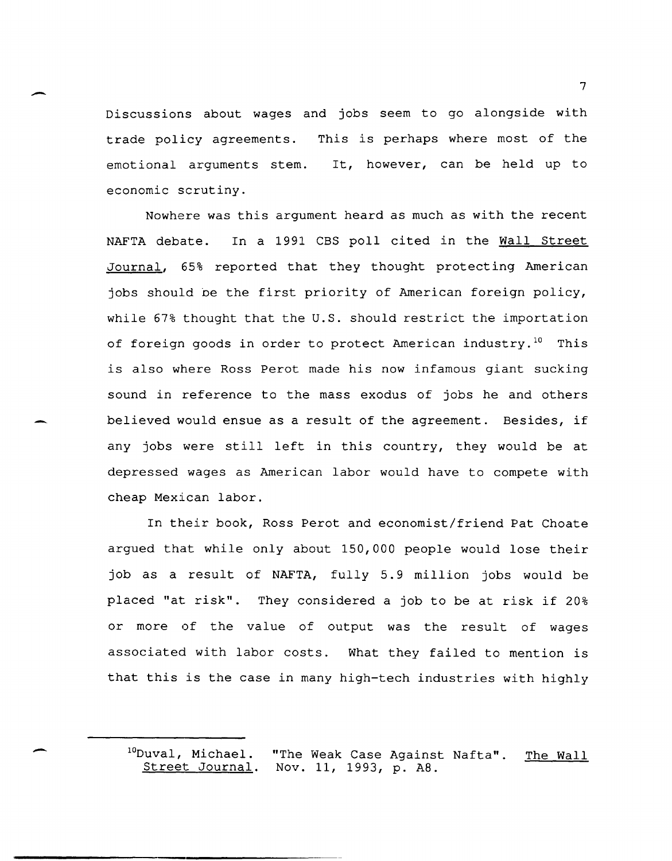Discussions about wages and jobs seem to go alongside with trade policy agreements. This is perhaps where most of the emotional arguments stem. It, however, can be held up to economic scrutiny.

 $\overline{\phantom{a}}$ 

-

-

Nowhere was this argument heard as much as with the recent NAFTA debate. In a 1991 CBS poll cited in the Wall Street Journal, 65% reported that they thought protecting American jobs should be the first priority of American foreign policy, while 67% thought that the U.S. should restrict the importation of foreign goods in order to protect American industry.<sup>10</sup> This is also where Ross Perot made his now infamous giant sucking sound in reference to the mass exodus of jobs he and others believed would ensue as a result of the agreement. Besides, if any jobs were still left in this country, they would be at depressed wages as American labor would have to compete with cheap Mexican labor.

In their book, Ross Perot and economist/friend Pat Choate argued that while only about 150,000 people would lose their job as a result of NAFTA, fully 5.9 million jobs would be placed "at risk". They considered a job to be at risk if 20% or more of the value of output was the result of wages associated with labor costs. What they failed to mention is that this is the case in many high-tech industries with highly

<sup>&</sup>lt;sup>10</sup>Duval, Michael. Street Journal. "The Weak Case Against Nafta". The Wall Nov. **11,** 1993, p. A8.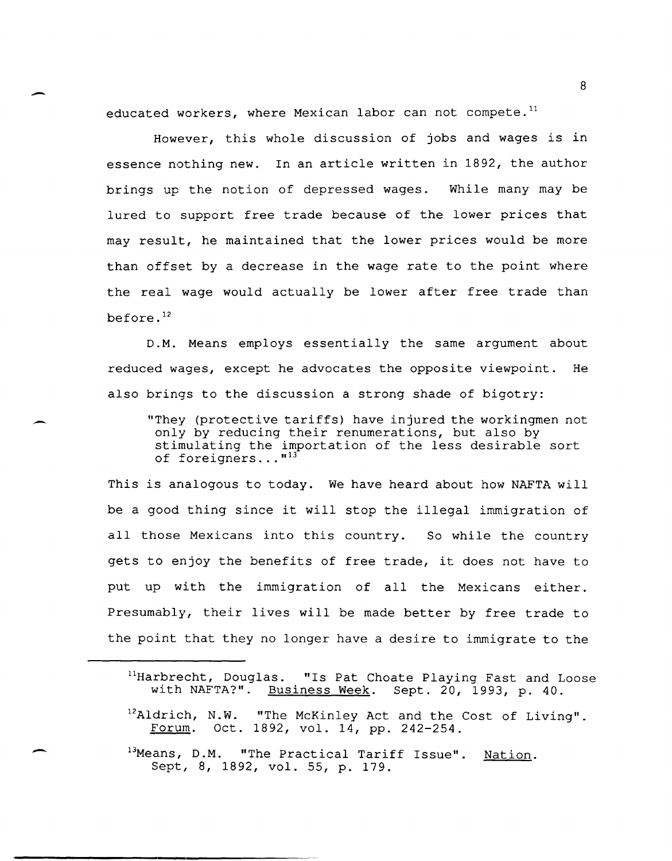educated workers, where Mexican labor can not compete.<sup>11</sup>

-

-

-

However, this whole discussion of jobs and wages is in essence nothing new. In an article written in 1892, the author brings up the notion of depressed wages. While many may be lured to support free trade because of the lower prices that may result, he maintained that the lower prices would be more than offset by a decrease in the wage rate to the point where the real wage would actually be lower after free trade than before .12

D. M. Means employs essentially the same argument about reduced wages, except he advocates the opposite viewpoint. He also brings to the discussion a strong shade of bigotry:

"They (protective tariffs) have injured the workingmen not only by reducing their renumerations, but also by stimulating the importation of the less desirable sort of foreigners..."<sup>13</sup>

This is analogous to today. We have heard about how NAFTA will be a good thing since it will stop the illegal immigration of all those Mexicans into this country. So while the country gets to enjoy the benefits of free trade, it does not have to put up with the immigration of all the Mexicans either. Presumably, their lives will be made better by free trade to the point that they no longer have a desire to immigrate to the

 $12$ Aldrich, N.W. "The McKinley Act and the Cost of Living". Forum. Oct. 1892, vol. 14, pp. 242-254.

<sup>13</sup>Means, D.M. "The Practical Tariff Issue". Nation. Sept, 8, 1892, vol. 55, p. 179.

<sup>&</sup>lt;sup>11</sup>Harbrecht, Douglas. "Is Pat Choate Playing Fast and Loose with NAFTA?". Business Week. Sept. 20, 1993, p. 40.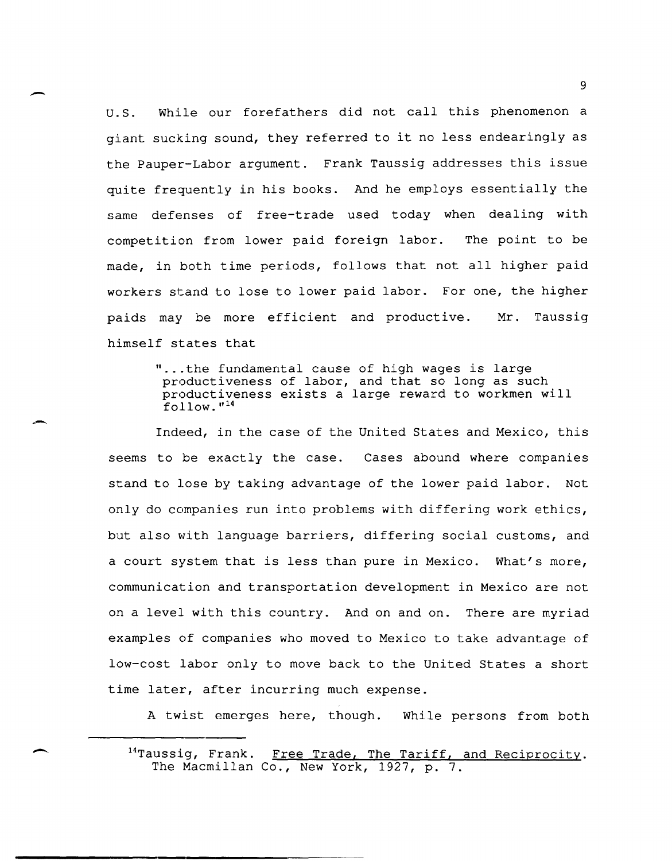U. S. While our forefathers did not call this phenomenon a giant sucking sound, they referred to it no less endearingly as the Pauper-Labor argument. Frank Taussig addresses this issue quite frequently in his books. And he employs essentially the same defenses of free-trade used today when dealing with competition from lower paid foreign labor. The point to be made, in both time periods, follows that not all higher paid workers stand to lose to lower paid labor. For one, the higher paids may be more efficient and productive. Mr. Taussig himself states that

 $\overline{\phantom{a}}$ 

 $\overline{\phantom{0}}$ 

"...the fundamental cause of high wages is large productiveness of labor, and that so long as such productiveness exists a large reward to workmen will follow. n14

Indeed, in the case of the United States and Mexico, this seems to be exactly the case. Cases abound where companies stand to lose by taking advantage of the lower paid labor. Not only do companies run into problems with differing work ethics, but also with language barriers, differing social customs, and a court system that is less than pure in Mexico. What's more, communication and transportation development in Mexico are not on a level with this country. And on and on. There are myriad examples of companies who moved to Mexico to take advantage of low-cost labor only to move back to the United States a short time later, after incurring much expense.

A twist emerges here, though. While persons from both

<sup>&</sup>lt;sup>14</sup>Taussig, Frank. Free Trade, The Tariff, and Reciprocity. The Macmillan Co., New York, 1927, p. 7.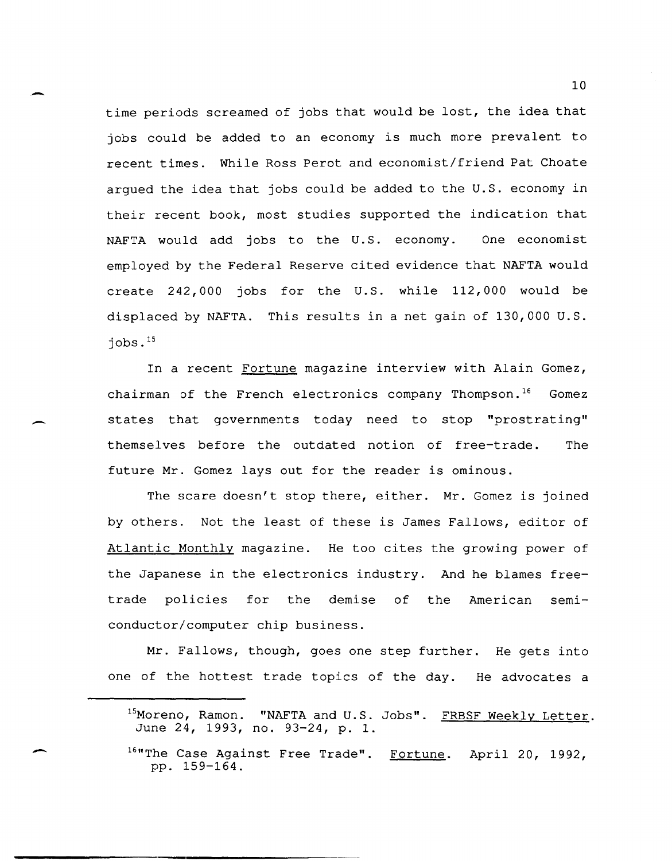time periods screamed of jobs that would be lost, the idea that jobs could be added to an economy is much more prevalent to recent times. While Ross Perot and economist/friend Pat Choate argued the idea that jobs could be added to the U.S. economy in their recent book, most studies supported the indication that NAFTA would add jobs to the U. S. economy. One economist employed by the Federal Reserve cited evidence that NAFTA would create 242,000 jobs for the U.S. while 112,000 would be displaced by NAFTA. This results in a net gain of 130,000 U.S. jobs. 15

-

 $\overline{\phantom{a}}$ 

-

In a recent Fortune magazine interview with Alain Gomez, chairman of the French electronics company Thompson.<sup>16</sup> Gomez states that governments today need to stop "prostrating" themsel ves before the outdated notion of free-trade. The future Mr. Gomez lays out for the reader is ominous.

The scare doesn't stop there, either. Mr. Gomez is joined by others. Not the least of these is James Fallows, editor of Atlantic Monthly magazine. He too cites the growing power of the Japanese in the electronics industry. And he blames freetrade policies for the demise of the American semiconductor/computer chip business.

Mr. Fallows, though, goes one step further. He gets into one of the hottest trade topics of the day. He advocates a

<sup>15</sup>Moreno, Ramon. June 24, 1993, no. 93-24, p. 1. "NAFTA and U.S. Jobs". FRBSF Weekly Letter.

<sup>&</sup>lt;sup>16</sup>"The Case Against Free Trade". Fortune. April 20, 1992, pp. 159-164.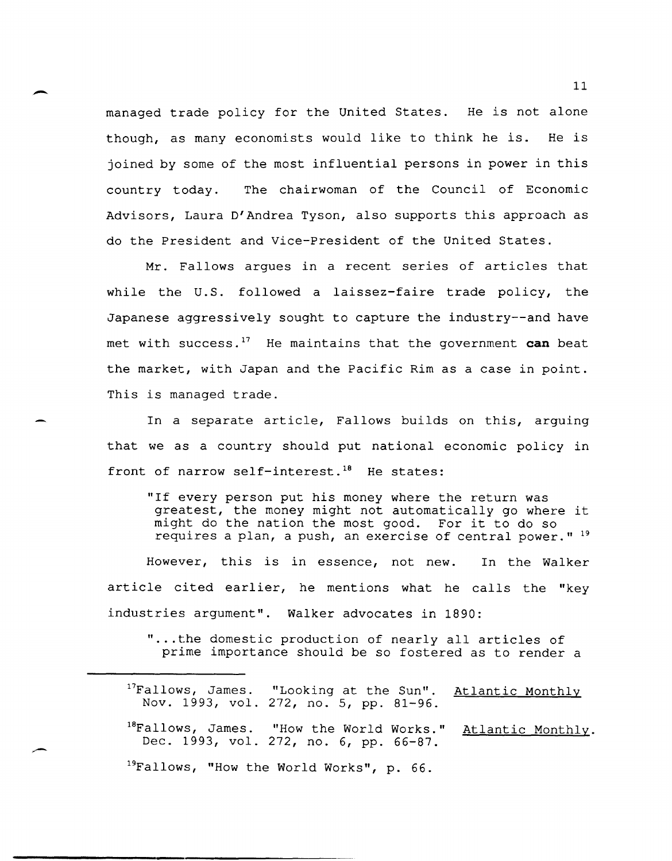managed trade policy for the United States. He is not alone though, as many economists would like to think he is. He is joined by some of the most influential persons in power in this country today. The chairwoman of the Council of Economic Advisors, Laura D'Andrea Tyson, also supports this approach as do the President and Vice-President of the United States.

-

,-

Mr. Fallows argues in a recent series of articles that while the U.S. followed a laissez-faire trade policy, the Japanese aggressively sought to capture the industry--and have met with success. 17 He maintains that the government **can** beat the market, with Japan and the Pacific Rim as a case in point. This is managed trade.

In a separate article, Fallows builds on this, arguing that we as a country should put national economic policy in front of narrow self-interest. $18$  He states:

"If every person put his money where the return was greatest, the money might not automatically go where it might do the nation the most good. For it to do so requires a plan, a push, an exercise of central power."  $19$ 

However, this is in essence, not new. In the Walker article cited earlier, he mentions what he calls the "key industries argument". Walker advocates in 1890:

" ... the domestic production of nearly all articles of prime importance should be so fostered as to render a

<sup>17</sup>Fallows, James. "Looking at the Sun". Atlantic Monthly Nov. 1993, vol. 272, no. 5, pp. 81-96.

 $18$ Fallows, James. "How the World Works." Atlantic Monthly. Dec. 1993, vol. 272, no. 6, pp. 66-87.

<sup>19</sup>Fallows, "How the World Works", p. 66.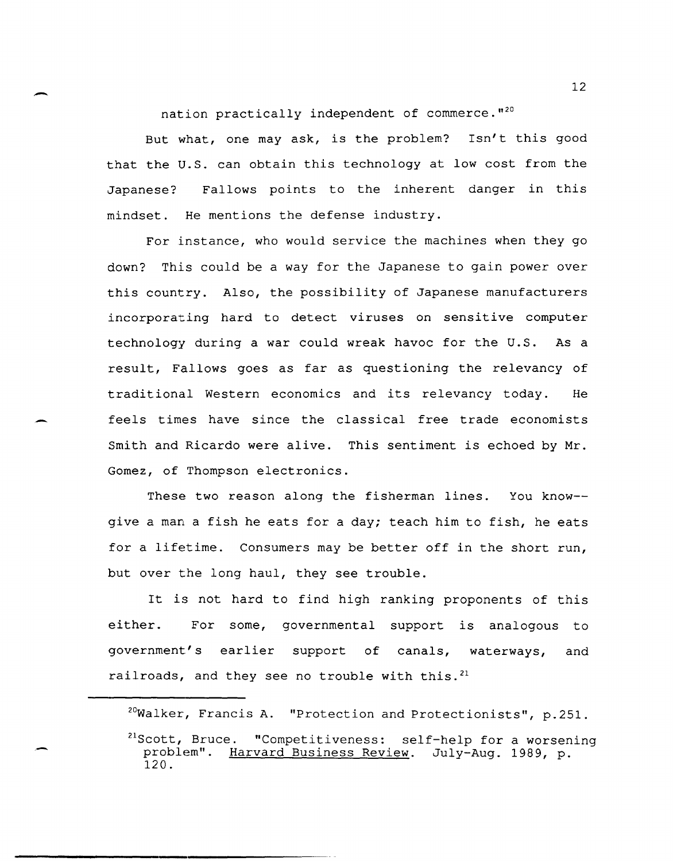nation practically independent of commerce."<sup>20</sup>

But what, one may ask, is the problem? Isn't this good that the U.S. can obtain this technology at low cost from the Japanese? Fallows points to the inherent danger in this mindset. He mentions the defense industry.

For instance, who would service the machines when they go down? This could be a way for the Japanese to gain power over this country. Also, the possibility of Japanese manufacturers incorporating hard to detect viruses on sensitive computer technology during a war could wreak havoc for the U.S. As a result, Fallows goes as far as questioning the relevancy of traditional Western economics and its relevancy today. He feels times have since the classical free trade economists Smith and Ricardo were alive. This sentiment is echoed by Mr. Gomez, of Thompson electronics.

These two reason along the fisherman lines. You know- give a man a fish he eats for a day; teach him to fish, he eats for a lifetime. Consumers may be better off in the short run, but over the long haul, they see trouble.

It is not hard to find high ranking proponents of this either. For some, governmental support is analogous to government's earlier support of canals, waterways, and railroads, and they see no trouble with this. $^{21}$ 

<sup>&</sup>lt;sup>20</sup>Walker, Francis A. "Protection and Protectionists", p.251.

<sup>&</sup>lt;sup>21</sup>Scott, Bruce. "Competitiveness: self-help for a worsening problem". Harvard Business Review. July-Aug. 1989, p. 120.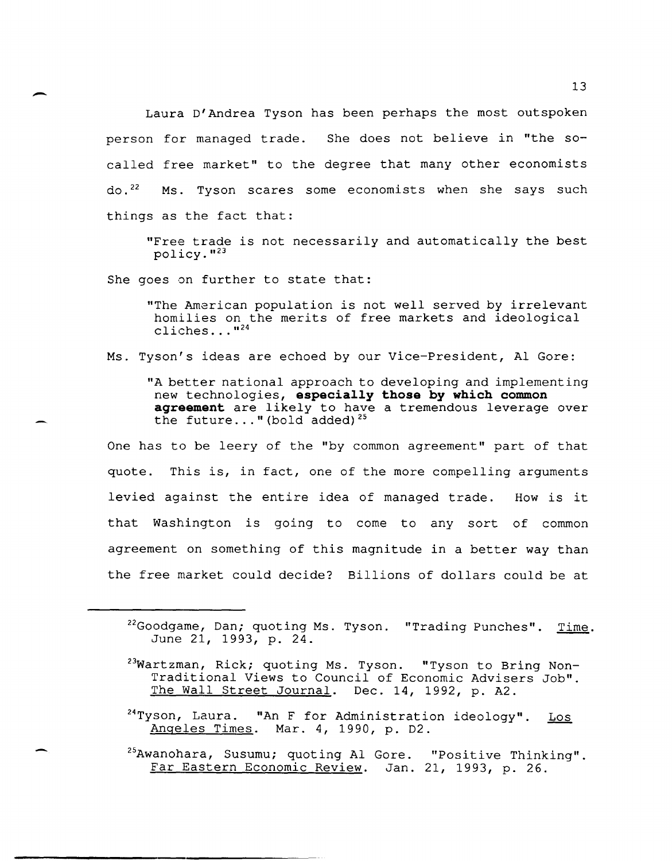- <sup>13</sup> Laura D'Andrea Tyson has been perhaps the most outspoken person for managed trade. She does not believe in "the socalled free market" to the degree that many other economists do.<sup>22</sup> Ms. Tyson scares some economists when she says such things as the fact that:

> "Free trade is not necessarily and automatically the best policy."23

She goes on further to state that:

"The American population is not well served by irrelevant homilies on the merits of free markets and ideological cliches ... "24

Ms. Tyson's ideas are echoed by our Vice-President, Al Gore:

"A better national approach to developing and implementing new technologies, **especially those by which common agreement** are likely to have a tremendous leverage over agreement are likely to have<br>the future..." (bold added)<sup>25</sup>

One has to be leery of the "by common agreement" part of that quote. This is, in fact, one of the more compelling arguments levied against the entire idea of managed trade. How is it that Washington is going to come to any sort of common agreement on something of this magnitude in a better way than the free market could decide? Billions of dollars could be at

 $24$ Tyson, Laura. "An F for Administration ideology". Los Angeles Times. Mar. 4, 1990, p. 02.

 $22G$ oodgame, Dan; quoting Ms. Tyson. "Trading Punches". Time. June 21, 1993, p. 24.

<sup>23</sup>Wartzman, Rick; quoting Ms. Tyson. "Tyson to Bring Non-Traditional Views to Council of Economic Advisers Job". The Wall Street Journal. Dec. 14, 1992, p. A2.

<sup>25</sup>Awanohara, Susumu; quoting Al Gore. "Positive Thinking". Far Eastern Economic Review. Jan. 21, 1993, p. 26.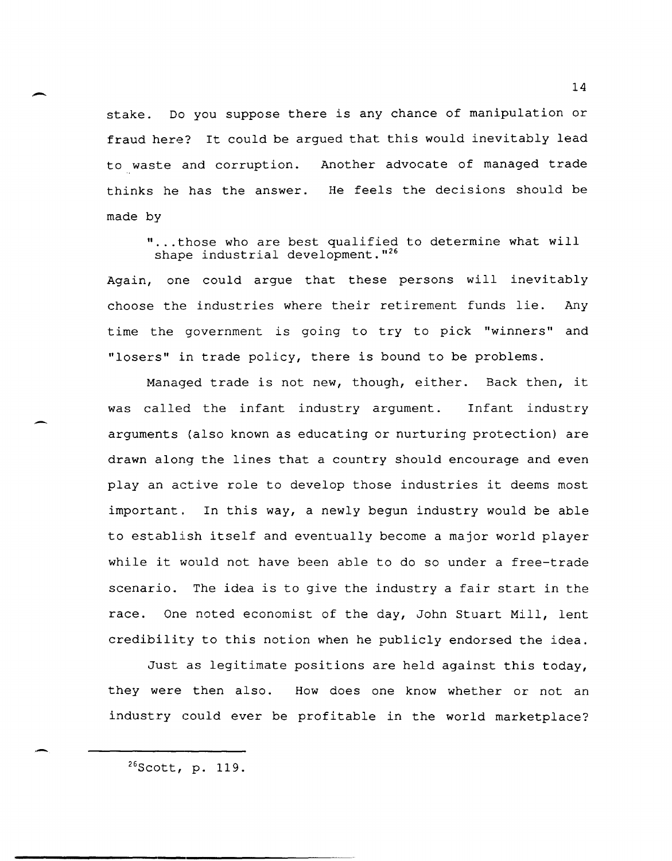stake. Do you suppose there is any chance of manipulation or fraud here? It could be argued that this would inevitably lead to waste and corruption. Another advocate of managed trade thinks he has the answer. He feels the decisions should be made by

**" .** .. those who are best qualified to determine what will shape industrial development."<sup>26</sup>

Again, one could argue that these persons will inevitably choose the industries where their retirement funds lie. Any time the government is going to try to pick "winners" and "losers" in trade policy, there is bound to be problems.

Managed trade is not new, though, either. Back then, it was called the infant industry argument. Infant industry arguments (also known as educating or nurturing protection) are drawn along the lines that a country should encourage and even play an active role to develop those industries it deems most important. In this way, a newly begun industry would be able to establish itself and eventually become a major world player while it would not have been able to do so under a free-trade scenario. The idea is to give the industry a fair start in the race. One noted economist of the day, John Stuart Mill, lent credibility to this notion when he publicly endorsed the idea.

Just as legitimate positions are held against this today, they were then also. How does one know whether or not an industry could ever be profitable in the world marketplace?

-

<sup>&</sup>lt;sup>26</sup>Scott, p. 119.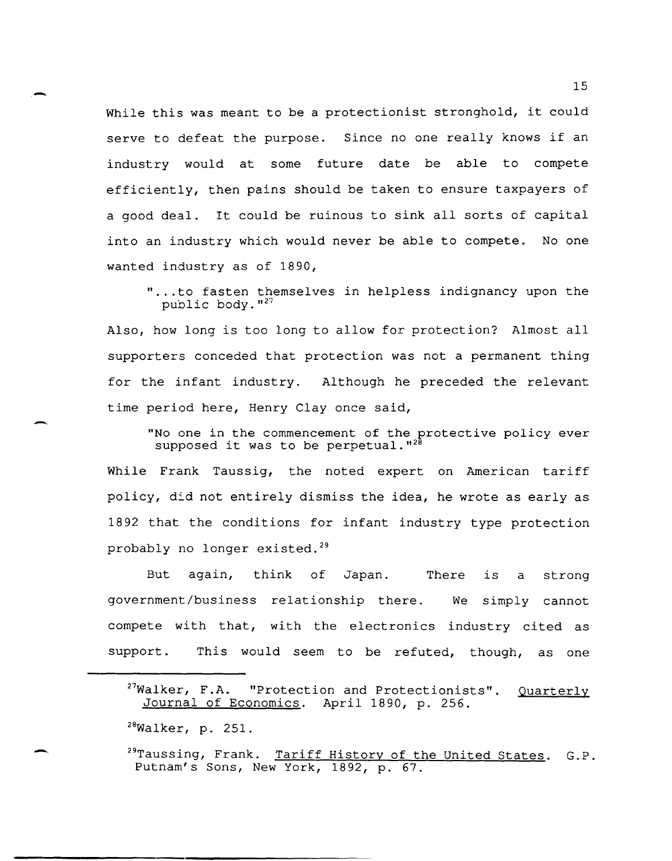While this was meant to be a protectionist stronghold, it could serve to defeat the purpose. Since no one really knows if an industry would at some future date be able to compete efficiently, then pains should be taken to ensure taxpayers of a good deal. It could be ruinous to sink all sorts of capital into an industry which would never be able to compete. No one wanted industry as of 1890,

**" ..** . to fasten themselves in helpless indignancy upon the public body."<sup>27</sup>

Also, how long is too long to allow for protection? Almost all supporters conceded that protection was not a permanent thing for the infant industry. Although he preceded the relevant time period here, Henry Clay once said,

"No one in the commencement of the protective policy ever<br>supposed it was to be perpetual."<sup>28</sup>

While Frank Taussig, the noted expert on American tariff policy, did not entirely dismiss the idea, he wrote as early as 1892 that the conditions for infant industry type protection probably no longer existed. <sup>29</sup>

But again, think of Japan. There is a strong government/business relationship there. We simply cannot compete with that, with the electronics industry cited as support. This would seem to be refuted, though, as one

,-

.-

<sup>&</sup>lt;sup>27</sup>Walker, F.A. "Protection and Protectionists".  $Quarterly$ Journal of Economics. April 1890, p. 256.

 $28$ Walker, p. 251.

<sup>&</sup>lt;sup>29</sup>Taussing, Frank. Tariff History of the United States. G.P. Putnam's Sons, New York, 1892, p. 67.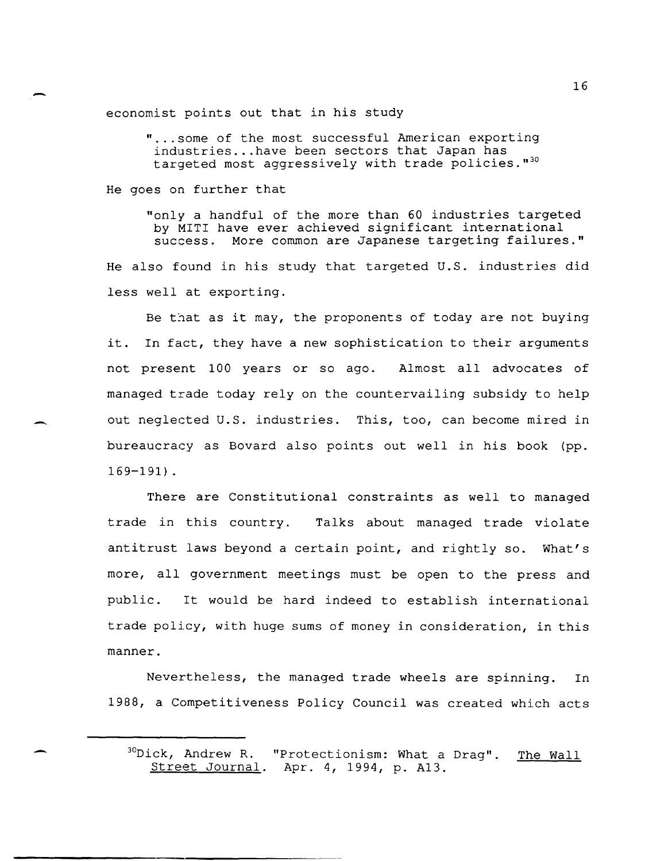economist points out that in his study

**" ..** . some of the most successful American exporting industries ... have been sectors that Japan has targeted most aggressively with trade policies.  $130$ 

He goes on further that

-

-

-

"only a handful of the more than 60 industries targeted by MITI have ever achieved significant international success. More common are Japanese targeting failures."

He also found in his study that targeted U.S. industries did less well at exporting.

Be that as it may, the proponents of today are not buying it. In fact, they have a new sophistication to their arguments not present 100 years or so ago. Almost all advocates of managed trade today rely on the countervailing subsidy to help out neglected U.S. industries. This, too, can become mired in bureaucracy as Bovard also points out well in his book (pp. 169-191) .

There are Constitutional constraints as well to managed trade in this country. Talks about managed trade violate antitrust laws beyond a certain point, and rightly so. What's more, all government meetings must be open to the press and public. It would be hard indeed to establish international trade policy, with huge sums of money in consideration, in this manner.

Nevertheless, the managed trade wheels are spinning. In 1988, a Competitiveness Policy Council was created which acts

 $30$ Dick, Andrew R. "Protectionism: What a Drag". The Wall Street Journal. Apr. 4, 1994, p. A13.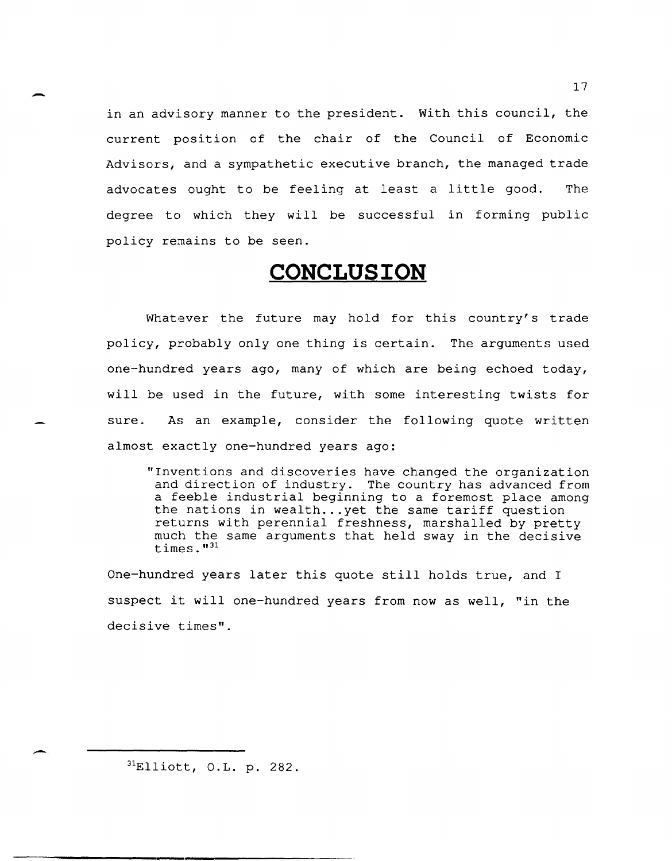in an advisory manner to the president. With this council, the current position of the chair of the Council of Economic Advisors, and a sympathetic executive branch, the managed trade advocates ought to be feeling at least a little good. The degree to which they will be successful in forming public policy remains to be seen.

## **CONCLUSION**

Whatever the future may hold for this country's trade policy, probably only one thing is certain. The arguments used one-hundred years ago, many of which are being echoed today, will be used in the future, with some interesting twists for sure. As an example, consider the following quote written almost exactly one-hundred years ago:

"Inventions and discoveries have changed the organization and direction of industry. The country has advanced from a feeble industrial beginning to a foremost place among a reeble induscrial beginning to a foremost place ame<br>the nations in wealth...yet the same tariff question returns with perennial freshness, marshalled by pretty much the same arguments that held sway in the decisive times.  $"$ <sup>31</sup>

One-hundred years later this quote still holds true, and I suspect it will one-hundred years from now as well, "in the decisive times".

-

--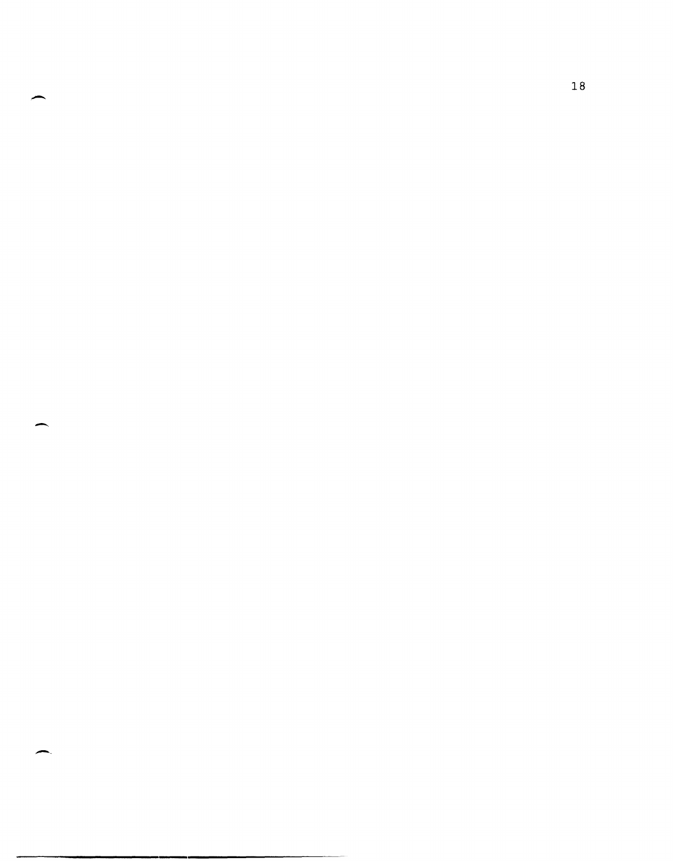18

 $\overline{\phantom{a}}$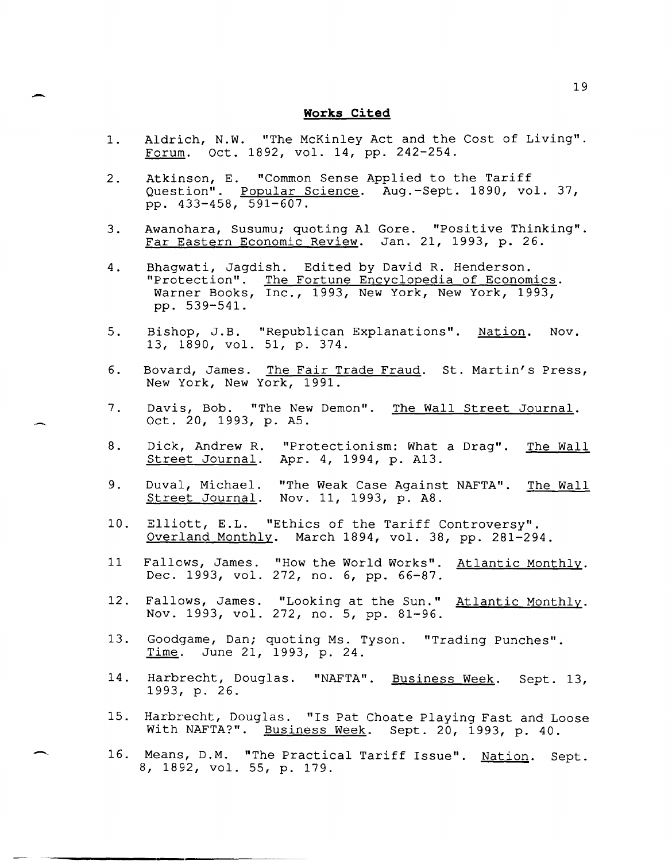# example of the contract of the contract of the contract of the contract of the contract of the contract of the contract of the contract of the contract of the contract of the contract of the contract of the contract of the **Works Cited**

- 1. Aldrich, N.W. "The McKinley Act and the Cost of Living". Forum. Oct. 1892, vol. 14, pp. 242-254.
- 2. Atkinson, E. "Common Sense Applied to the Tariff Question". Popular Science. Aug.-Sept. 1890, vol. 37, pp.  $433 - 458, 591 - 607$ .
- 3. Awanohara, Susumu; quoting Al Gore. "Positive Thinking". Far Eastern Economic Review. Jan. 21, 1993, p. 26.
- 4. Bhagwati, Jagdish. Edited by David R. Henderson. "Protection". The Fortune Encyclopedia of Economics. Warner Books, Inc., 1993, New York, New York, 1993, pp. 539-541.
- 5. Bishop, J.B. "Republican Explanations". Nation. Nov. 13, 1890, vol. 51, p. 374.
- 6. Bovard, James. The Fair Trade Fraud. St. Martin's Press, New York, New York, 1991.
- 7. Davis, Bob. "The New Demon". The Wall Street Journal. Oct. 20, 1993, p. A5.
- 8. Dick, Andrew R. "Protectionism: What a Drag". The Wall Street Journal. Apr. 4, 1994, p. A13.
- 9. Duval, Michael. "The Weak Case Against NAFTA". The Wall Street Journal. Nov. 11, 1993, p. A8.
- 10. Elliott, E.L. "Ethics of the Tariff Controversy". Overland Monthly. March 1894, vol. 38, pp. 281-294.
- 11 Fallows, James. "How the World Works". Atlantic Monthly. Dec. 1993, vol. 272, no. 6, pp. 66-87.
- 12. Fallows, James. "Looking at the Sun. " Atlantic Monthly. Nov. 1993, vol. 272, no. 5, pp. 81-96.
- 13. Goodgame, Dan; quoting Ms. Tyson. "Trading Punches". Time. June 21, 1993, p. 24.
- 14. Harbrecht, Douglas. "NAFTA". Business Week. Sept. 13, 1993, p. 26.
- 15. Harbrecht, Douglas. "Is Pat Choate Playing Fast and Loose With NAFTA?". Business Week. Sept. 20, 1993, p. 40.
- 16. Means, D.M. "The Practical Tariff Issue". Nation. Sept. 8, 1892, vol. 55, p. 179.